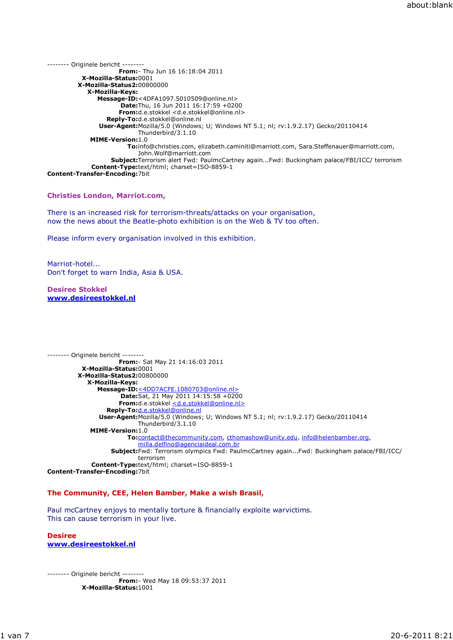-------- Originele bericht -------- From:- Thu Jun 16 16:18:04 2011 X-Mozilla-Status:0001 X-Mozilla-Status2:00800000 X-Mozilla-Keys: Message-ID:<4DFA1097.5010509@online.nl> Date:Thu, 16 Jun 2011 16:17:59 +0200 From:d.e.stokkel <d.e.stokkel@online.nl> Reply-To:d.e.stokkel@online.nl User-Agent:Mozilla/5.0 (Windows; U; Windows NT 5.1; nl; rv:1.9.2.17) Gecko/20110414 Thunderbird/3.1.10 MIME-Version:1.0 To:info@christies.com, elizabeth.caminiti@marriott.com, Sara.Steffenauer@marriott.com, John.Wolf@marriott.com Subject:Terrorism alert Fwd: PaulmcCartney again...Fwd: Buckingham palace/FBI/ICC/ terrorism Content-Type:text/html; charset=ISO-8859-1 Content-Transfer-Encoding:7bit

### Christies London, Marriot.com,

There is an increased risk for terrorism-threats/attacks on your organisation, now the news about the Beatle-photo exhibition is on the Web & TV too often.

Please inform every organisation involved in this exhibition.

Marriot-hotel... Don't forget to warn India, Asia & USA.

Desiree Stokkel www.desireestokkel.nl

-------- Originele bericht -------- From:- Sat May 21 14:16:03 2011 X-Mozilla-Status:0001 X-Mozilla-Status2:00800000 X-Mozilla-Keys: Message-ID:<4DD7ACFE.1080703@online.nl> Date:Sat, 21 May 2011 14:15:58 +0200 From:d.e.stokkel <d.e.stokkel@online.nl> Reply-To:d.e.stokkel@online.nl User-Agent:Mozilla/5.0 (Windows; U; Windows NT 5.1; nl; rv:1.9.2.17) Gecko/20110414 Thunderbird/3.1.10 MIME-Version:1.0 To:contact@thecommunity.com, cthomashow@unity.edu, info@helenbamber.org, milla.delfino@agenciaideal.com.br Subject:Fwd: Terrorism olympics Fwd: PaulmcCartney again...Fwd: Buckingham palace/FBI/ICC/ terrorism Content-Type:text/html; charset=ISO-8859-1 Content-Transfer-Encoding:7bit

#### The Community, CEE, Helen Bamber, Make a wish Brasil,

Paul mcCartney enjoys to mentally torture & financially exploite warvictims. This can cause terrorism in your live.

**Desiree** www.desireestokkel.nl

-------- Originele bericht -------- From:- Wed May 18 09:53:37 2011 X-Mozilla-Status:1001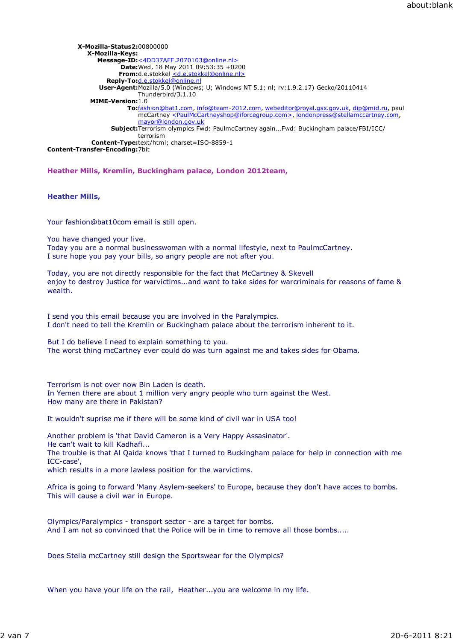| X-Mozilla-Status2:00800000                                                                                          |
|---------------------------------------------------------------------------------------------------------------------|
| X-Mozilla-Keys:                                                                                                     |
| Message-ID:<4DD37AFF.2070103@online.nl>                                                                             |
| <b>Date:</b> Wed, 18 May 2011 09:53:35 +0200                                                                        |
| <b>From:</b> d.e.stokkel <d.e.stokkel@online.nl></d.e.stokkel@online.nl>                                            |
| Reply-To:d.e.stokkel@online.nl                                                                                      |
| <b>User-Agent:</b> Mozilla/5.0 (Windows; U; Windows NT 5.1; nl; $rv:1.9.2.17$ ) Gecko/20110414                      |
| Thunderbird/3.1.10                                                                                                  |
| <b>MIME-Version:1.0</b>                                                                                             |
| To:fashion@bat1.com, info@team-2012.com, webeditor@royal.gsx.gov.uk, dip@mid.ru, paul                               |
| mcCartney <paulmccartneyshop@iforcegroup.com>, londonpress@stellamccartney.com,</paulmccartneyshop@iforcegroup.com> |
| mayor@london.gov.uk                                                                                                 |
| <b>Subject:</b> Terrorism olympics Fwd: PaulmcCartney againFwd: Buckingham palace/FBI/ICC/                          |
| terrorism                                                                                                           |
| <b>Content-Type:</b> text/html; charset=ISO-8859-1                                                                  |
| <b>Content-Transfer-Encoding: 7bit</b>                                                                              |

Heather Mills, Kremlin, Buckingham palace, London 2012team,

### Heather Mills,

Your fashion@bat10com email is still open.

You have changed your live.

Today you are a normal businesswoman with a normal lifestyle, next to PaulmcCartney. I sure hope you pay your bills, so angry people are not after you.

Today, you are not directly responsible for the fact that McCartney & Skevell enjoy to destroy Justice for warvictims...and want to take sides for warcriminals for reasons of fame & wealth.

I send you this email because you are involved in the Paralympics. I don't need to tell the Kremlin or Buckingham palace about the terrorism inherent to it.

But I do believe I need to explain something to you. The worst thing mcCartney ever could do was turn against me and takes sides for Obama.

Terrorism is not over now Bin Laden is death. In Yemen there are about 1 million very angry people who turn against the West. How many are there in Pakistan?

It wouldn't suprise me if there will be some kind of civil war in USA too!

Another problem is 'that David Cameron is a Very Happy Assasinator'. He can't wait to kill Kadhafi... The trouble is that Al Qaida knows 'that I turned to Buckingham palace for help in connection with me ICC-case',

which results in a more lawless position for the warvictims.

Africa is going to forward 'Many Asylem-seekers' to Europe, because they don't have acces to bombs. This will cause a civil war in Europe.

Olympics/Paralympics - transport sector - are a target for bombs. And I am not so convinced that the Police will be in time to remove all those bombs.....

Does Stella mcCartney still design the Sportswear for the Olympics?

When you have your life on the rail, Heather...you are welcome in my life.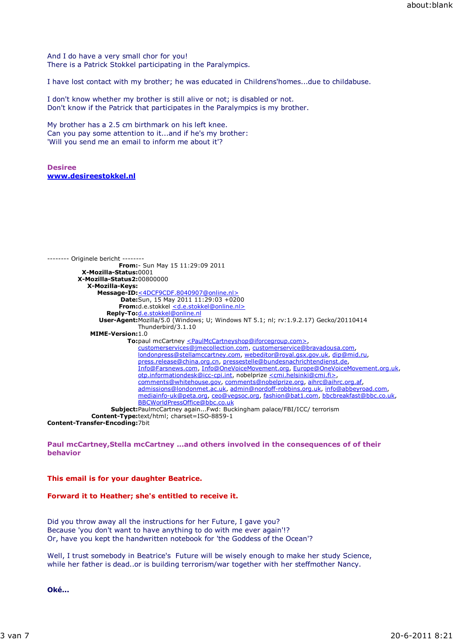And I do have a very small chor for you! There is a Patrick Stokkel participating in the Paralympics.

I have lost contact with my brother; he was educated in Childrens'homes...due to childabuse.

I don't know whether my brother is still alive or not; is disabled or not. Don't know if the Patrick that participates in the Paralympics is my brother.

My brother has a 2.5 cm birthmark on his left knee. Can you pay some attention to it...and if he's my brother: 'Will you send me an email to inform me about it'?

Desiree www.desireestokkel.nl

```
-------- Originele bericht --------
                      From:- Sun May 15 11:29:09 2011
          X-Mozilla-Status:0001
         X-Mozilla-Status2:00800000
            X-Mozilla-Keys:
               Message-ID:<4DCF9CDF.8040907@online.nl>
                      Date:Sun, 15 May 2011 11:29:03 +0200
                      From:d.e.stokkel <d.e.stokkel@online.nl>
                  Reply-To:d.e.stokkel@online.nl
                User-Agent:Mozilla/5.0 (Windows; U; Windows NT 5.1; nl; rv:1.9.2.17) Gecko/20110414
                           Thunderbird/3.1.10
             MIME-Version:1.0
                        To:paul mcCartney <PaulMcCartneyshop@iforcegroup.com>,
                            customerservices@jmecollection.com, customerservice@bravadousa.com,
                            londonpress@stellamccartney.com, webeditor@royal.gsx.gov.uk, dip@mid.ru,
                            press.release@china.org.cn, pressestelle@bundesnachrichtendienst.de,
                            Info@Farsnews.com, Info@OneVoiceMovement.org, Europe@OneVoiceMovement.org.uk,
                            otp.informationdesk@icc-cpi.int, nobelprize <cmi.helsinki@cmi.fi>,
                            comments@whitehouse.gov, comments@nobelprize.org, aihrc@aihrc.org.af,
                            admissions@londonmet.ac.uk, admin@nordoff-robbins.org.uk, info@abbeyroad.com,
                            mediainfo-uk@peta.org, ceo@vegsoc.org, fashion@bat1.com, bbcbreakfast@bbc.co.uk,
                            BBCWorldPressOffice@bbc.co.uk
                   Subject:PaulmcCartney again...Fwd: Buckingham palace/FBI/ICC/ terrorism
             Content-Type:text/html; charset=ISO-8859-1
Content-Transfer-Encoding:7bit
```
Paul mcCartney,Stella mcCartney ...and others involved in the consequences of of their behavior

## This email is for your daughter Beatrice.

## Forward it to Heather; she's entitled to receive it.

Did you throw away all the instructions for her Future, I gave you? Because 'you don't want to have anything to do with me ever again'!? Or, have you kept the handwritten notebook for 'the Goddess of the Ocean'?

Well, I trust somebody in Beatrice's Future will be wisely enough to make her study Science, while her father is dead..or is building terrorism/war together with her steffmother Nancy.

Oké...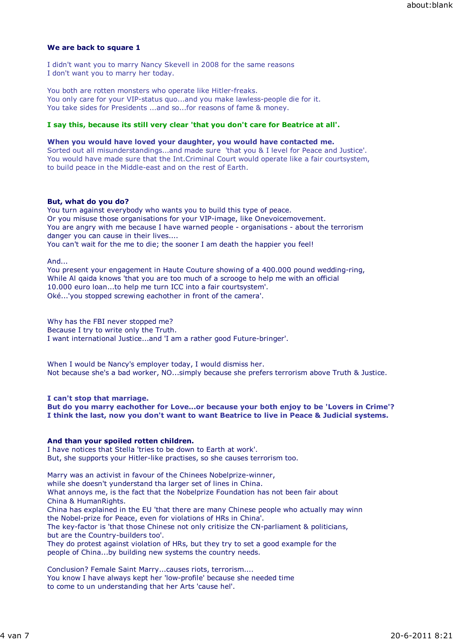# We are back to square 1

I didn't want you to marry Nancy Skevell in 2008 for the same reasons I don't want you to marry her today.

You both are rotten monsters who operate like Hitler-freaks. You only care for your VIP-status quo...and you make lawless-people die for it. You take sides for Presidents ...and so...for reasons of fame & money.

# I say this, because its still very clear 'that you don't care for Beatrice at all'.

## When you would have loved your daughter, you would have contacted me.

Sorted out all misunderstandings...and made sure 'that you & I level for Peace and Justice'. You would have made sure that the Int.Criminal Court would operate like a fair courtsystem, to build peace in the Middle-east and on the rest of Earth.

## But, what do you do?

You turn against everybody who wants you to build this type of peace. Or you misuse those organisations for your VIP-image, like Onevoicemovement. You are angry with me because I have warned people - organisations - about the terrorism danger you can cause in their lives....

You can't wait for the me to die; the sooner I am death the happier you feel!

And...

You present your engagement in Haute Couture showing of a 400.000 pound wedding-ring, While Al qaida knows 'that you are too much of a scrooge to help me with an official 10.000 euro loan...to help me turn ICC into a fair courtsystem'. Oké...'you stopped screwing eachother in front of the camera'.

Why has the FBI never stopped me? Because I try to write only the Truth. I want international Justice...and 'I am a rather good Future-bringer'.

When I would be Nancy's employer today, I would dismiss her. Not because she's a bad worker, NO...simply because she prefers terrorism above Truth & Justice.

I can't stop that marriage. But do you marry eachother for Love...or because your both enjoy to be 'Lovers in Crime'? I think the last, now you don't want to want Beatrice to live in Peace & Judicial systems.

#### And than your spoiled rotten children.

I have notices that Stella 'tries to be down to Earth at work'. But, she supports your Hitler-like practises, so she causes terrorism too.

Marry was an activist in favour of the Chinees Nobelprize-winner, while she doesn't yunderstand tha larger set of lines in China. What annoys me, is the fact that the Nobelprize Foundation has not been fair about China & HumanRights. China has explained in the EU 'that there are many Chinese people who actually may winn the Nobel-prize for Peace, even for violations of HRs in China'. The key-factor is 'that those Chinese not only critisize the CN-parliament & politicians, but are the Country-builders too'. They do protest against violation of HRs, but they try to set a good example for the people of China...by building new systems the country needs. Conclusion? Female Saint Marry...causes riots, terrorism....

You know I have always kept her 'low-profile' because she needed time to come to un understanding that her Arts 'cause hel'.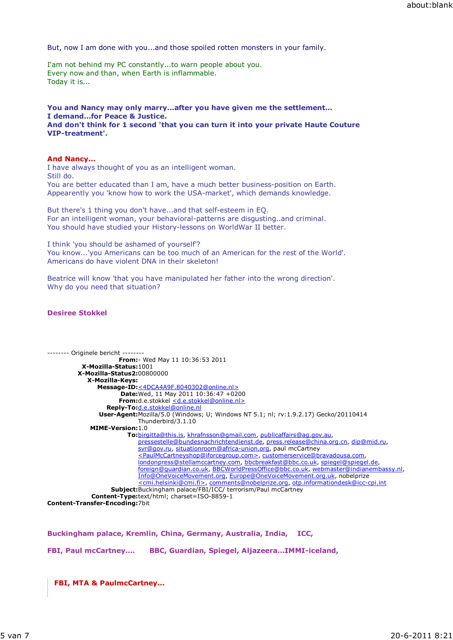But, now I am done with you...and those spoiled rotten monsters in your family.

I'am not behind my PC constantly...to warn people about you. Every now and than, when Earth is inflammable. Today it is...

### You and Nancy may only marry...after you have given me the settlement... I demand...for Peace & Justice. And don't think for 1 second 'that you can turn it into your private Haute Couture VIP-treatment'.

## And Nancy...

I have always thought of you as an intelligent woman. Still do. You are better educated than I am, have a much better business-position on Earth. Appearently you 'know how to work the USA-market', which demands knowledge.

But there's 1 thing you don't have...and that self-esteem in EQ. For an intelligent woman, your behavioral-patterns are disgusting..and criminal. You should have studied your History-lessons on WorldWar II better.

I think 'you should be ashamed of yourself'? You know...'you Americans can be too much of an American for the rest of the World'. Americans do have violent DNA in their skeleton!

Beatrice will know 'that you have manipulated her father into the wrong direction'. Why do you need that situation?

## Desiree Stokkel

```
-------- Originele bericht --------
                      From:- Wed May 11 10:36:53 2011
          X-Mozilla-Status:1001
         X-Mozilla-Status2:00800000
            X-Mozilla-Keys:
               Message-ID:<4DCA4A9F.8040302@online.nl>
                      Date:Wed, 11 May 2011 10:36:47 +0200
                      From:d.e.stokkel <d.e.stokkel@online.nl>
                  Reply-To:d.e.stokkel@online.nl
                User-Agent:Mozilla/5.0 (Windows; U; Windows NT 5.1; nl; rv:1.9.2.17) Gecko/20110414
                            Thunderbird/3.1.10
             MIME-Version:1.0
                         To:birgitta@this.is, khrafnsson@gmail.com, publicaffairs@ag.gov.au,
                            pressestelle@bundesnachrichtendienst.de, press.release@china.org.cn, dip@mid.ru,
                            svr@gov.ru, situationroom@africa-union.org, paul mcCartney
                            <PaulMcCartneyshop@iforcegroup.com>, customerservice@bravadousa.com,
                            londonpress@stellamccartney.com, bbcbreakfast@bbc.co.uk, spiegel@spiegel.de,
                            foreign@guardian.co.uk, BBCWorldPressOffice@bbc.co.uk, webmaster@indianembassy.nl,
                            Info@OneVoiceMovement.org, Europe@OneVoiceMovement.org.uk, nobelprize
                            <cmi.helsinki@cmi.fi>, comments@nobelprize.org, otp.informationdesk@icc-cpi.int
                    Subject:Buckingham palace/FBI/ICC/ terrorism/Paul mcCartney
             Content-Type:text/html; charset=ISO-8859-1
Content-Transfer-Encoding:7bit
```
Buckingham palace, Kremlin, China, Germany, Australia, India, ICC,

FBI, Paul mcCartney.... BBC, Guardian, Spiegel, Aljazeera...IMMI-iceland,

FBI, MTA & PaulmcCartney...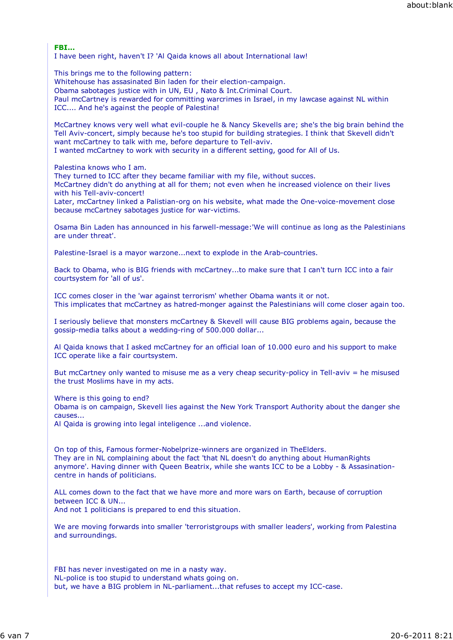FBI...

I have been right, haven't I? 'Al Qaida knows all about International law!

This brings me to the following pattern: Whitehouse has assasinated Bin laden for their election-campaign. Obama sabotages justice with in UN, EU , Nato & Int.Criminal Court. Paul mcCartney is rewarded for committing warcrimes in Israel, in my lawcase against NL within ICC.... And he's against the people of Palestina!

McCartney knows very well what evil-couple he & Nancy Skevells are; she's the big brain behind the Tell Aviv-concert, simply because he's too stupid for building strategies. I think that Skevell didn't want mcCartney to talk with me, before departure to Tell-aviv. I wanted mcCartney to work with security in a different setting, good for All of Us.

Palestina knows who I am.

They turned to ICC after they became familiar with my file, without succes.

McCartney didn't do anything at all for them; not even when he increased violence on their lives with his Tell-aviv-concert!

Later, mcCartney linked a Palistian-org on his website, what made the One-voice-movement close because mcCartney sabotages justice for war-victims.

Osama Bin Laden has announced in his farwell-message:'We will continue as long as the Palestinians are under threat'.

Palestine-Israel is a mayor warzone...next to explode in the Arab-countries.

Back to Obama, who is BIG friends with mcCartney...to make sure that I can't turn ICC into a fair courtsystem for 'all of us'.

ICC comes closer in the 'war against terrorism' whether Obama wants it or not. This implicates that mcCartney as hatred-monger against the Palestinians will come closer again too.

I seriously believe that monsters mcCartney & Skevell will cause BIG problems again, because the gossip-media talks about a wedding-ring of 500.000 dollar...

Al Qaida knows that I asked mcCartney for an official loan of 10.000 euro and his support to make ICC operate like a fair courtsystem.

But mcCartney only wanted to misuse me as a very cheap security-policy in Tell-aviv = he misused the trust Moslims have in my acts.

Where is this going to end?

Obama is on campaign, Skevell lies against the New York Transport Authority about the danger she causes...

Al Qaida is growing into legal inteligence ...and violence.

On top of this, Famous former-Nobelprize-winners are organized in TheElders. They are in NL complaining about the fact 'that NL doesn't do anything about HumanRights anymore'. Having dinner with Queen Beatrix, while she wants ICC to be a Lobby - & Assasinationcentre in hands of politicians.

ALL comes down to the fact that we have more and more wars on Earth, because of corruption between ICC & UN...

And not 1 politicians is prepared to end this situation.

We are moving forwards into smaller 'terroristgroups with smaller leaders', working from Palestina and surroundings.

FBI has never investigated on me in a nasty way. NL-police is too stupid to understand whats going on. but, we have a BIG problem in NL-parliament...that refuses to accept my ICC-case.